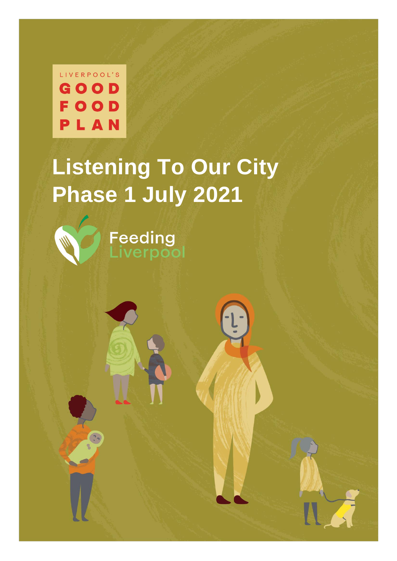

# **Listening To Our City Phase 1 July 2021**

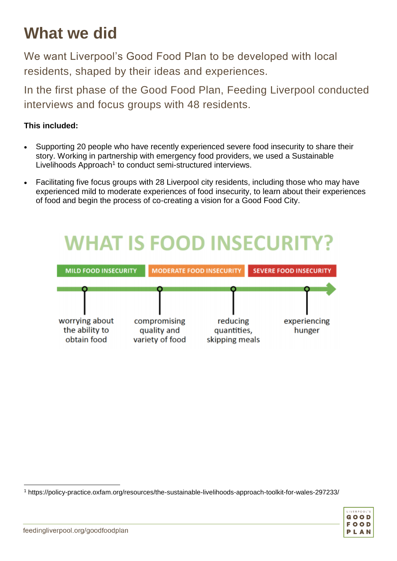#### **What we did**

We want Liverpool's Good Food Plan to be developed with local residents, shaped by their ideas and experiences.

In the first phase of the Good Food Plan, Feeding Liverpool conducted interviews and focus groups with 48 residents.

#### **This included:**

- Supporting 20 people who have recently experienced severe food insecurity to share their story. Working in partnership with emergency food providers, we used a Sustainable Livelihoods Approach<sup>1</sup> to conduct semi-structured interviews.
- Facilitating five focus groups with 28 Liverpool city residents, including those who may have experienced mild to moderate experiences of food insecurity, to learn about their experiences of food and begin the process of co-creating a vision for a Good Food City.



<sup>1</sup> <sup>1</sup> https://policy-practice.oxfam.org/resources/the-sustainable-livelihoods-approach-toolkit-for-wales-297233/

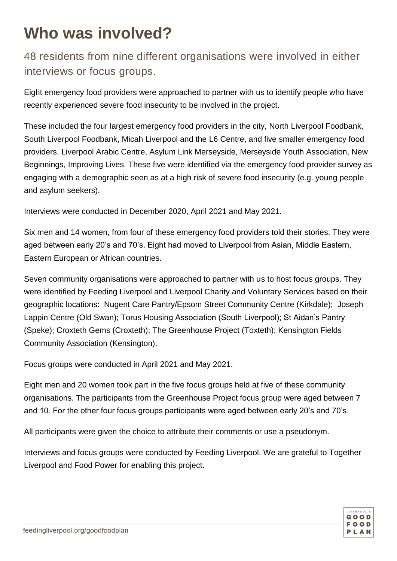#### **Who was involved?**

48 residents from nine different organisations were involved in either interviews or focus groups.

Eight emergency food providers were approached to partner with us to identify people who have recently experienced severe food insecurity to be involved in the project.

These included the four largest emergency food providers in the city, North Liverpool Foodbank, South Liverpool Foodbank, Micah Liverpool and the L6 Centre, and five smaller emergency food providers, Liverpool Arabic Centre, Asylum Link Merseyside, Merseyside Youth Association, New Beginnings, Improving Lives. These five were identified via the emergency food provider survey as engaging with a demographic seen as at a high risk of severe food insecurity (e.g. young people and asylum seekers).

Interviews were conducted in December 2020, April 2021 and May 2021.

Six men and 14 women, from four of these emergency food providers told their stories. They were aged between early 20's and 70's. Eight had moved to Liverpool from Asian, Middle Eastern, Eastern European or African countries.

Seven community organisations were approached to partner with us to host focus groups. They were identified by Feeding Liverpool and Liverpool Charity and Voluntary Services based on their geographic locations: Nugent Care Pantry/Epsom Street Community Centre (Kirkdale); Joseph Lappin Centre (Old Swan); Torus Housing Association (South Liverpool); St Aidan's Pantry (Speke); Croxteth Gems (Croxteth); The Greenhouse Project (Toxteth); Kensington Fields Community Association (Kensington).

Focus groups were conducted in April 2021 and May 2021.

Eight men and 20 women took part in the five focus groups held at five of these community organisations. The participants from the Greenhouse Project focus group were aged between 7 and 10. For the other four focus groups participants were aged between early 20's and 70's.

All participants were given the choice to attribute their comments or use a pseudonym.

Interviews and focus groups were conducted by Feeding Liverpool. We are grateful to Together Liverpool and Food Power for enabling this project.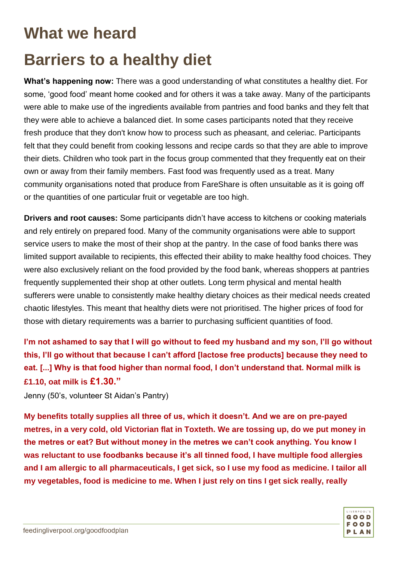#### **What we heard**

### **Barriers to a healthy diet**

What's happening now: There was a good understanding of what constitutes a healthy diet. For some, 'good food' meant home cooked and for others it was a take away. Many of the participants were able to make use of the ingredients available from pantries and food banks and they felt that they were able to achieve a balanced diet. In some cases participants noted that they receive fresh produce that they don't know how to process such as pheasant, and celeriac. Participants felt that they could benefit from cooking lessons and recipe cards so that they are able to improve their diets. Children who took part in the focus group commented that they frequently eat on their own or away from their family members. Fast food was frequently used as a treat. Many community organisations noted that produce from FareShare is often unsuitable as it is going off or the quantities of one particular fruit or vegetable are too high.

**Drivers and root causes:** Some participants didn't have access to kitchens or cooking materials and rely entirely on prepared food. Many of the community organisations were able to support service users to make the most of their shop at the pantry. In the case of food banks there was limited support available to recipients, this effected their ability to make healthy food choices. They were also exclusively reliant on the food provided by the food bank, whereas shoppers at pantries frequently supplemented their shop at other outlets. Long term physical and mental health sufferers were unable to consistently make healthy dietary choices as their medical needs created chaotic lifestyles. This meant that healthy diets were not prioritised. The higher prices of food for those with dietary requirements was a barrier to purchasing sufficient quantities of food.

**I'm not ashamed to say that I will go without to feed my husband and my son, I'll go without this, I'll go without that because I can't afford [lactose free products] because they need to eat. [...] Why is that food higher than normal food, I don't understand that. Normal milk is £1.10, oat milk is £1.30."** 

Jenny (50's, volunteer St Aidan's Pantry)

**My benefits totally supplies all three of us, which it doesn't. And we are on pre-payed metres, in a very cold, old Victorian flat in Toxteth. We are tossing up, do we put money in the metres or eat? But without money in the metres we can't cook anything. You know I was reluctant to use foodbanks because it's all tinned food, I have multiple food allergies and I am allergic to all pharmaceuticals, I get sick, so I use my food as medicine. I tailor all my vegetables, food is medicine to me. When I just rely on tins I get sick really, really** 

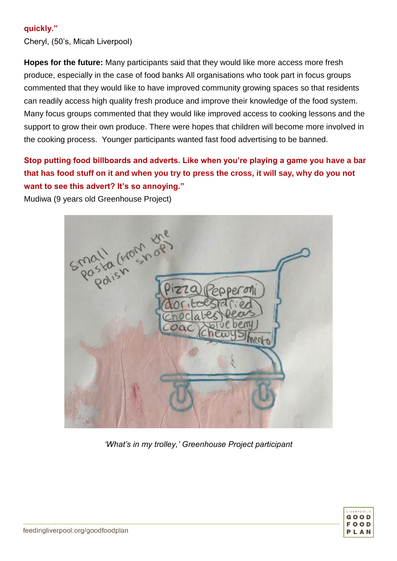#### **quickly."**

Cheryl, (50's, Micah Liverpool)

**Hopes for the future:** Many participants said that they would like more access more fresh produce, especially in the case of food banks All organisations who took part in focus groups commented that they would like to have improved community growing spaces so that residents can readily access high quality fresh produce and improve their knowledge of the food system. Many focus groups commented that they would like improved access to cooking lessons and the support to grow their own produce. There were hopes that children will become more involved in the cooking process. Younger participants wanted fast food advertising to be banned.

#### **Stop putting food billboards and adverts. Like when you're playing a game you have a bar that has food stuff on it and when you try to press the cross, it will say, why do you not want to see this advert? It's so annoying."**

Mudiwa (9 years old Greenhouse Project)



*'What's in my trolley,' Greenhouse Project participant*

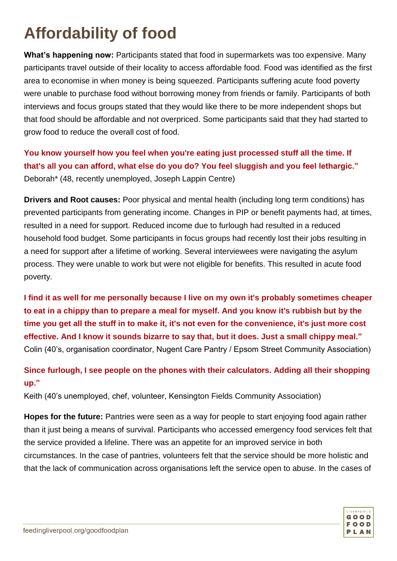### **Affordability of food**

**What's happening now:** Participants stated that food in supermarkets was too expensive. Many participants travel outside of their locality to access affordable food. Food was identified as the first area to economise in when money is being squeezed. Participants suffering acute food poverty were unable to purchase food without borrowing money from friends or family. Participants of both interviews and focus groups stated that they would like there to be more independent shops but that food should be affordable and not overpriced. Some participants said that they had started to grow food to reduce the overall cost of food.

**You know yourself how you feel when you're eating just processed stuff all the time. If that's all you can afford, what else do you do? You feel sluggish and you feel lethargic."** Deborah\* (48, recently unemployed, Joseph Lappin Centre)

**Drivers and Root causes:** Poor physical and mental health (including long term conditions) has prevented participants from generating income. Changes in PIP or benefit payments had, at times, resulted in a need for support. Reduced income due to furlough had resulted in a reduced household food budget. Some participants in focus groups had recently lost their jobs resulting in a need for support after a lifetime of working. Several interviewees were navigating the asylum process. They were unable to work but were not eligible for benefits. This resulted in acute food poverty.

**I find it as well for me personally because I live on my own it's probably sometimes cheaper to eat in a chippy than to prepare a meal for myself. And you know it's rubbish but by the time you get all the stuff in to make it, it's not even for the convenience, it's just more cost effective. And I know it sounds bizarre to say that, but it does. Just a small chippy meal."**  Colin (40's, organisation coordinator, Nugent Care Pantry / Epsom Street Community Association)

#### **Since furlough, I see people on the phones with their calculators. Adding all their shopping up."**

Keith (40's unemployed, chef, volunteer, Kensington Fields Community Association)

**Hopes for the future:** Pantries were seen as a way for people to start enjoying food again rather than it just being a means of survival. Participants who accessed emergency food services felt that the service provided a lifeline. There was an appetite for an improved service in both circumstances. In the case of pantries, volunteers felt that the service should be more holistic and that the lack of communication across organisations left the service open to abuse. In the cases of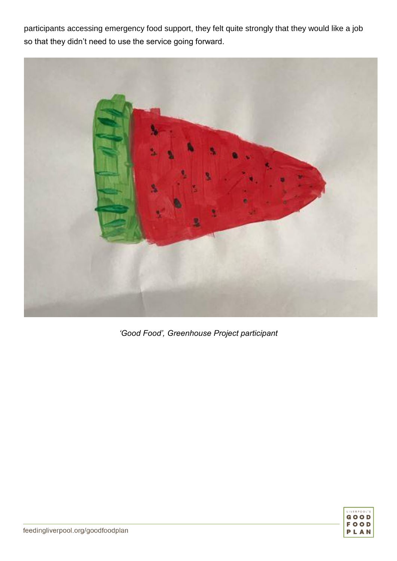participants accessing emergency food support, they felt quite strongly that they would like a job so that they didn't need to use the service going forward.



*'Good Food', Greenhouse Project participant*

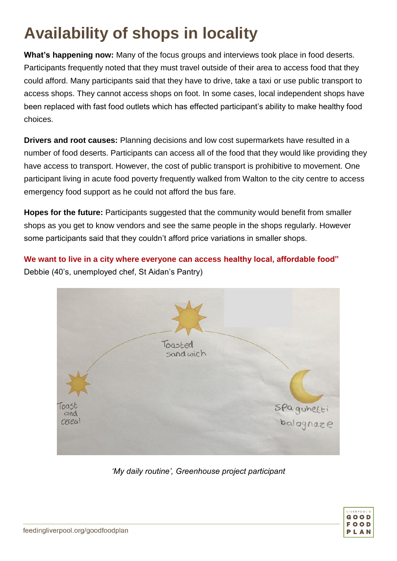## **Availability of shops in locality**

**What's happening now:** Many of the focus groups and interviews took place in food deserts. Participants frequently noted that they must travel outside of their area to access food that they could afford. Many participants said that they have to drive, take a taxi or use public transport to access shops. They cannot access shops on foot. In some cases, local independent shops have been replaced with fast food outlets which has effected participant's ability to make healthy food choices.

**Drivers and root causes:** Planning decisions and low cost supermarkets have resulted in a number of food deserts. Participants can access all of the food that they would like providing they have access to transport. However, the cost of public transport is prohibitive to movement. One participant living in acute food poverty frequently walked from Walton to the city centre to access emergency food support as he could not afford the bus fare.

**Hopes for the future:** Participants suggested that the community would benefit from smaller shops as you get to know vendors and see the same people in the shops regularly. However some participants said that they couldn't afford price variations in smaller shops.

**We want to live in a city where everyone can access healthy local, affordable food"** Debbie (40's, unemployed chef, St Aidan's Pantry)



*'My daily routine', Greenhouse project participant*

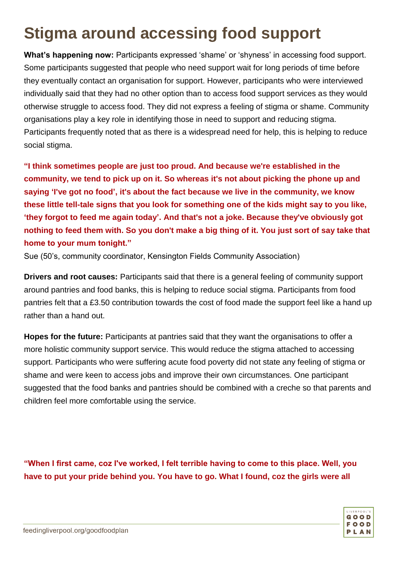## **Stigma around accessing food support**

**What's happening now:** Participants expressed 'shame' or 'shyness' in accessing food support. Some participants suggested that people who need support wait for long periods of time before they eventually contact an organisation for support. However, participants who were interviewed individually said that they had no other option than to access food support services as they would otherwise struggle to access food. They did not express a feeling of stigma or shame. Community organisations play a key role in identifying those in need to support and reducing stigma. Participants frequently noted that as there is a widespread need for help, this is helping to reduce social stigma.

**"I think sometimes people are just too proud. And because we're established in the community, we tend to pick up on it. So whereas it's not about picking the phone up and saying 'I've got no food', it's about the fact because we live in the community, we know these little tell-tale signs that you look for something one of the kids might say to you like, 'they forgot to feed me again today'. And that's not a joke. Because they've obviously got nothing to feed them with. So you don't make a big thing of it. You just sort of say take that home to your mum tonight."** 

Sue (50's, community coordinator, Kensington Fields Community Association)

**Drivers and root causes:** Participants said that there is a general feeling of community support around pantries and food banks, this is helping to reduce social stigma. Participants from food pantries felt that a £3.50 contribution towards the cost of food made the support feel like a hand up rather than a hand out.

**Hopes for the future:** Participants at pantries said that they want the organisations to offer a more holistic community support service. This would reduce the stigma attached to accessing support. Participants who were suffering acute food poverty did not state any feeling of stigma or shame and were keen to access jobs and improve their own circumstances. One participant suggested that the food banks and pantries should be combined with a creche so that parents and children feel more comfortable using the service.

**"When I first came, coz I've worked, I felt terrible having to come to this place. Well, you have to put your pride behind you. You have to go. What I found, coz the girls were all** 

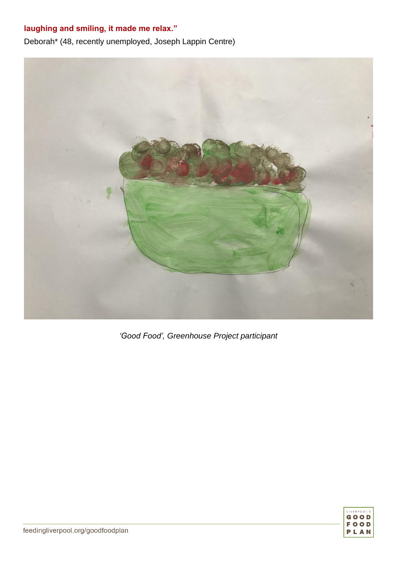#### **laughing and smiling, it made me relax."**

Deborah\* (48, recently unemployed, Joseph Lappin Centre)



*'Good Food', Greenhouse Project participant* 

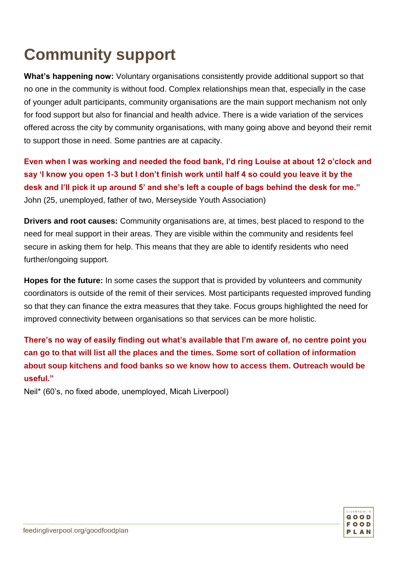# **Community support**

**What's happening now:** Voluntary organisations consistently provide additional support so that no one in the community is without food. Complex relationships mean that, especially in the case of younger adult participants, community organisations are the main support mechanism not only for food support but also for financial and health advice. There is a wide variation of the services offered across the city by community organisations, with many going above and beyond their remit to support those in need. Some pantries are at capacity.

**Even when I was working and needed the food bank, I'd ring Louise at about 12 o'clock and say 'I know you open 1-3 but I don't finish work until half 4 so could you leave it by the desk and I'll pick it up around 5' and she's left a couple of bags behind the desk for me."**  John (25, unemployed, father of two, Merseyside Youth Association)

**Drivers and root causes:** Community organisations are, at times, best placed to respond to the need for meal support in their areas. They are visible within the community and residents feel secure in asking them for help. This means that they are able to identify residents who need further/ongoing support.

**Hopes for the future:** In some cases the support that is provided by volunteers and community coordinators is outside of the remit of their services. Most participants requested improved funding so that they can finance the extra measures that they take. Focus groups highlighted the need for improved connectivity between organisations so that services can be more holistic.

**There's no way of easily finding out what's available that I'm aware of, no centre point you can go to that will list all the places and the times. Some sort of collation of information about soup kitchens and food banks so we know how to access them. Outreach would be useful."** 

Neil\* (60's, no fixed abode, unemployed, Micah Liverpool)